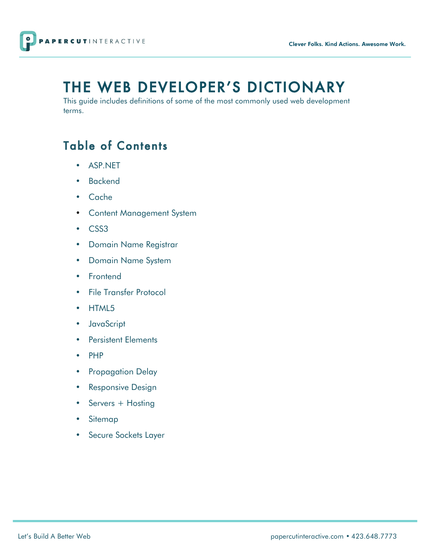

# THE WEB DEVELOPER'S DICTIONARY

This guide includes definitions of some of the most commonly used web development terms.

# Table of Contents

- ASP.NET
- Backend
- Cache
- Content Management System
- CSS3
- Domain Name Registrar
- Domain Name System
- Frontend
- File Transfer Protocol
- HTML5
- JavaScript
- Persistent Elements
- PHP
- Propagation Delay
- Responsive Design
- Servers + Hosting
- Sitemap
- Secure Sockets Layer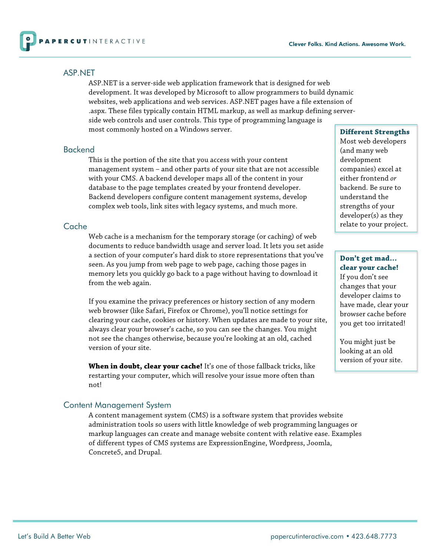

#### ASP.NET

ASP.NET is a server-side web application framework that is designed for web development. It was developed by Microsoft to allow programmers to build dynamic websites, web applications and web services. ASP.NET pages have a file extension of .aspx. These files typically contain HTML markup, as well as markup defining serverside web controls and user controls. This type of programming language is most commonly hosted on a Windows server.

# Backend

This is the portion of the site that you access with your content management system – and other parts of your site that are not accessible with your CMS. A backend developer maps all of the content in your database to the page templates created by your frontend developer. Backend developers configure content management systems, develop complex web tools, link sites with legacy systems, and much more.

#### Cache

Web cache is a mechanism for the temporary storage (or caching) of web documents to reduce bandwidth usage and server load. It lets you set aside a section of your computer's hard disk to store representations that you've seen. As you jump from web page to web page, caching those pages in memory lets you quickly go back to a page without having to download it from the web again.

If you examine the privacy preferences or history section of any modern web browser (like Safari, Firefox or Chrome), you'll notice settings for clearing your cache, cookies or history. When updates are made to your site, always clear your browser's cache, so you can see the changes. You might not see the changes otherwise, because you're looking at an old, cached version of your site.

**When in doubt, clear your cache!** It's one of those fallback tricks, like restarting your computer, which will resolve your issue more often than not!

# Content Management System

A content management system (CMS) is a software system that provides website administration tools so users with little knowledge of web programming languages or markup languages can create and manage website content with relative ease. Examples of different types of CMS systems are ExpressionEngine, Wordpress, Joomla, Concrete5, and Drupal.

#### **Different Strengths**

Most web developers (and many web development companies) excel at either frontend *or*  backend. Be sure to understand the strengths of your developer(s) as they relate to your project.

#### **Don't get mad… clear your cache!**

If you don't see changes that your developer claims to have made, clear your browser cache before you get too irritated!

You might just be looking at an old version of your site.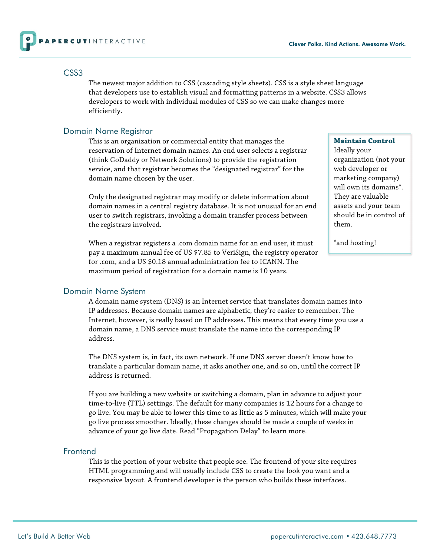

#### CSS3

The newest major addition to CSS (cascading style sheets). CSS is a style sheet language that developers use to establish visual and formatting patterns in a website. CSS3 allows developers to work with individual modules of CSS so we can make changes more efficiently.

# Domain Name Registrar

This is an organization or commercial entity that manages the reservation of Internet domain names. An end user selects a registrar (think GoDaddy or Network Solutions) to provide the registration service, and that registrar becomes the "designated registrar" for the domain name chosen by the user.

Only the designated registrar may modify or delete information about domain names in a central registry database. It is not unusual for an end user to switch registrars, invoking a domain transfer process between the registrars involved.

When a registrar registers a .com domain name for an end user, it must pay a maximum annual fee of US \$7.85 to VeriSign, the registry operator for .com, and a US \$0.18 annual administration fee to ICANN. The maximum period of registration for a domain name is 10 years.

#### **Maintain Control**

Ideally your organization (not your web developer or marketing company) will own its domains\*. They are valuable assets and your team should be in control of them.

\*and hosting!

# Domain Name System

A domain name system (DNS) is an Internet service that translates domain names into IP addresses. Because domain names are alphabetic, they're easier to remember. The Internet, however, is really based on IP addresses. This means that every time you use a domain name, a DNS service must translate the name into the corresponding IP address.

The DNS system is, in fact, its own network. If one DNS server doesn't know how to translate a particular domain name, it asks another one, and so on, until the correct IP address is returned.

If you are building a new website or switching a domain, plan in advance to adjust your time-to-live (TTL) settings. The default for many companies is 12 hours for a change to go live. You may be able to lower this time to as little as 5 minutes, which will make your go live process smoother. Ideally, these changes should be made a couple of weeks in advance of your go live date. Read "Propagation Delay" to learn more.

# Frontend

This is the portion of your website that people see. The frontend of your site requires HTML programming and will usually include CSS to create the look you want and a responsive layout. A frontend developer is the person who builds these interfaces.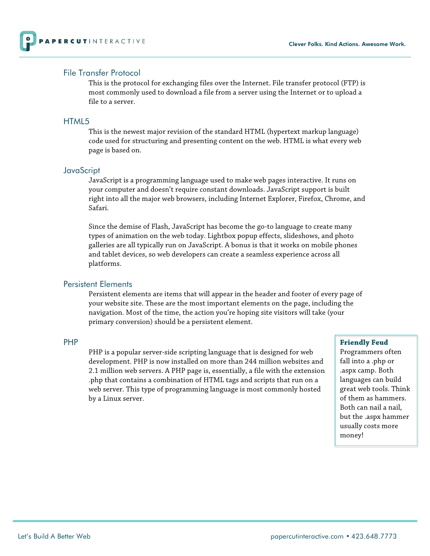

# File Transfer Protocol

This is the protocol for exchanging files over the Internet. File transfer protocol (FTP) is most commonly used to download a file from a server using the Internet or to upload a file to a server.

#### HTML5

This is the newest major revision of the standard HTML (hypertext markup language) code used for structuring and presenting content on the web. HTML is what every web page is based on.

#### **JavaScript**

JavaScript is a programming language used to make web pages interactive. It runs on your computer and doesn't require constant downloads. JavaScript support is built right into all the major web browsers, including Internet Explorer, Firefox, Chrome, and Safari.

Since the demise of Flash, JavaScript has become the go-to language to create many types of animation on the web today. Lightbox popup effects, slideshows, and photo galleries are all typically run on JavaScript. A bonus is that it works on mobile phones and tablet devices, so web developers can create a seamless experience across all platforms.

# Persistent Elements

Persistent elements are items that will appear in the header and footer of every page of your website site. These are the most important elements on the page, including the navigation. Most of the time, the action you're hoping site visitors will take (your primary conversion) should be a persistent element.

#### PHP

PHP is a popular server-side scripting language that is designed for web development. PHP is now installed on more than 244 million websites and 2.1 million web servers. A PHP page is, essentially, a file with the extension .php that contains a combination of HTML tags and scripts that run on a web server. This type of programming language is most commonly hosted by a Linux server.

#### **Friendly Feud**

Programmers often fall into a .php or .aspx camp. Both languages can build great web tools. Think of them as hammers. Both can nail a nail, but the .aspx hammer usually costs more money!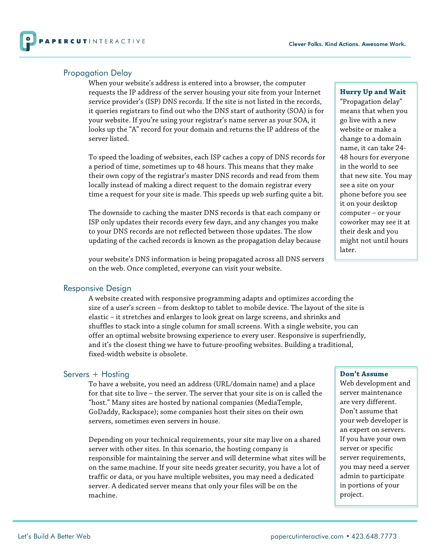

#### Propagation Delay

When your website's address is entered into a browser, the computer requests the IP address of the server housing your site from your Internet service provider's (ISP) DNS records. If the site is not listed in the records, it queries registrars to find out who the DNS start of authority (SOA) is for your website. If you're using your registrar's name server as your SOA, it looks up the "A" record for your domain and returns the IP address of the server listed.

To speed the loading of websites, each ISP caches a copy of DNS records for a period of time, sometimes up to 48 hours. This means that they make their own copy of the registrar's master DNS records and read from them locally instead of making a direct request to the domain registrar every time a request for your site is made. This speeds up web surfing quite a bit.

The downside to caching the master DNS records is that each company or ISP only updates their records every few days, and any changes you make to your DNS records are not reflected between those updates. The slow updating of the cached records is known as the propagation delay because

your website's DNS information is being propagated across all DNS servers on the web. Once completed, everyone can visit your website.

#### Responsive Design

A website created with responsive programming adapts and optimizes according the size of a user's screen – from desktop to tablet to mobile device. The layout of the site is elastic – it stretches and enlarges to look great on large screens, and shrinks and shuffles to stack into a single column for small screens. With a single website, you can offer an optimal website browsing experience to every user. Responsive is superfriendly, and it's the closest thing we have to future-proofing websites. Building a traditional, fixed-width website is obsolete.

# Servers + Hosting

To have a website, you need an address (URL/domain name) and a place for that site to live – the server. The server that your site is on is called the "host." Many sites are hosted by national companies (MediaTemple, GoDaddy, Rackspace); some companies host their sites on their own servers, sometimes even servers in house.

Depending on your technical requirements, your site may live on a shared server with other sites. In this scenario, the hosting company is responsible for maintaining the server and will determine what sites will be on the same machine. If your site needs greater security, you have a lot of traffic or data, or you have multiple websites, you may need a dedicated server. A dedicated server means that only your files will be on the machine.

#### **Hurry Up and Wait**

"Propagation delay" means that when you go live with a new website or make a change to a domain name, it can take 24- 48 hours for everyone in the world to see that new site. You may see a site on your phone before you see it on your desktop computer – or your coworker may see it at their desk and you might not until hours later.

#### **Don't Assume**

Web development and server maintenance are very different. Don't assume that your web developer is an expert on servers. If you have your own server or specific server requirements, you may need a server admin to participate in portions of your project.